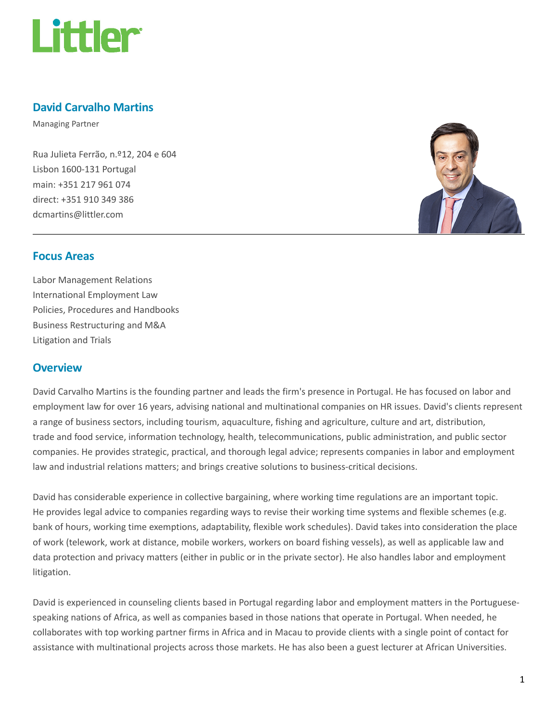

# David Carvalho Martins

Managing Partner

Rua Julieta Ferrão, n.º12, 204 e 604 Lisbon 1600-131 Portugal main: +351 217 961 074 direct: +351 910 349 386 dcmartins@littler.com



### Focus Areas

Labor Management Relations International Employment Law Policies, Procedures and Handbooks Business Restructuring and M&A Litigation and Trials

### **Overview**

David Carvalho Martins is the founding partner and leads the firm's presence in Portugal. He has focused on labor and employment law for over 16 years, advising national and multinational companies on HR issues. David's clients represent a range of business sectors, including tourism, aquaculture, fishing and agriculture, culture and art, distribution, trade and food service, information technology, health, telecommunications, public administration, and public sector companies. He provides strategic, practical, and thorough legal advice; represents companies in labor and employment law and industrial relations matters; and brings creative solutions to business-critical decisions.

David has considerable experience in collective bargaining, where working time regulations are an important topic. He provides legal advice to companies regarding ways to revise their working time systems and flexible schemes (e.g. bank of hours, working time exemptions, adaptability, flexible work schedules). David takes into consideration the place of work (telework, work at distance, mobile workers, workers on board fishing vessels), as well as applicable law and data protection and privacy matters (either in public or in the private sector). He also handles labor and employment litigation.

David is experienced in counseling clients based in Portugal regarding labor and employment matters in the Portuguesespeaking nations of Africa, as well as companies based in those nations that operate in Portugal. When needed, he collaborates with top working partner firms in Africa and in Macau to provide clients with a single point of contact for assistance with multinational projects across those markets. He has also been a guest lecturer at African Universities.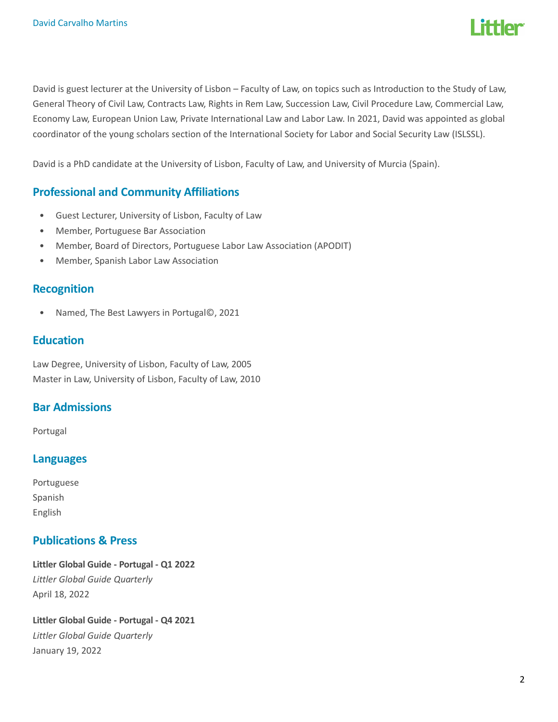

David is guest lecturer at the University of Lisbon – Faculty of Law, on topics such as Introduction to the Study of Law, General Theory of Civil Law, Contracts Law, Rights in Rem Law, Succession Law, Civil Procedure Law, Commercial Law, Economy Law, European Union Law, Private International Law and Labor Law. In 2021, David was appointed as global coordinator of the young scholars section of the International Society for Labor and Social Security Law (ISLSSL).

David is a PhD candidate at the University of Lisbon, Faculty of Law, and University of Murcia (Spain).

## Professional and Community Affiliations

- Guest Lecturer, University of Lisbon, Faculty of Law
- Member, Portuguese Bar Association
- Member, Board of Directors, Portuguese Labor Law Association (APODIT)
- Member, Spanish Labor Law Association

### Recognition

• Named, The Best Lawyers in Portugal©, 2021

### **Education**

Law Degree, University of Lisbon, Faculty of Law, 2005 Master in Law, University of Lisbon, Faculty of Law, 2010

# Bar Admissions

Portugal

### Languages

Portuguese Spanish English

### Publications & Press

Littler Global Guide - Portugal - Q1 2022 Littler Global Guide Quarterly April 18, 2022

Littler Global Guide - Portugal - Q4 2021 Littler Global Guide Quarterly January 19, 2022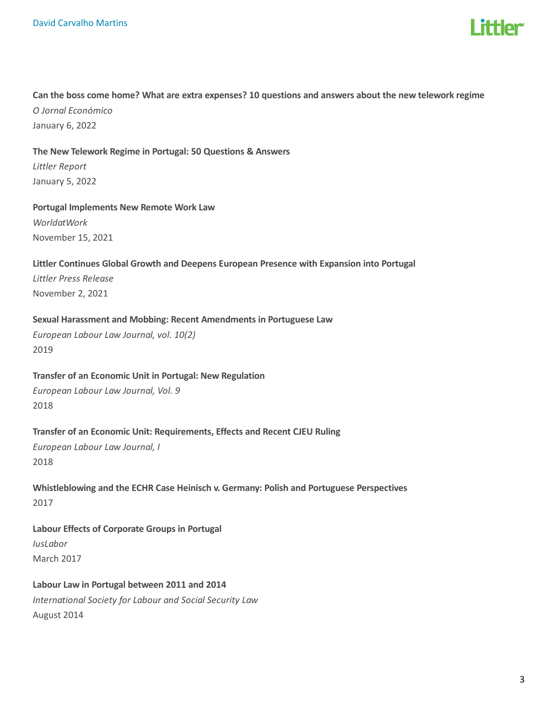

# Can the boss come home? What are extra expenses? 10 questions and answers about the new telework regime O Jornal Económico

January 6, 2022

#### The New Telework Regime in Portugal: 50 Questions & Answers

Littler Report January 5, 2022

### Portugal Implements New Remote Work Law

WorldatWork November 15, 2021

#### Littler Continues Global Growth and Deepens European Presence with Expansion into Portugal

Littler Press Release November 2, 2021

#### Sexual Harassment and Mobbing: Recent Amendments in Portuguese Law

European Labour Law Journal, vol. 10(2) 2019

#### Transfer of an Economic Unit in Portugal: New Regulation

European Labour Law Journal, Vol. 9 2018

#### Transfer of an Economic Unit: Requirements, Effects and Recent CJEU Ruling

European Labour Law Journal, I 2018

Whistleblowing and the ECHR Case Heinisch v. Germany: Polish and Portuguese Perspectives 2017

# Labour Effects of Corporate Groups in Portugal IusLabor March 2017

Labour Law in Portugal between 2011 and 2014 International Society for Labour and Social Security Law August 2014